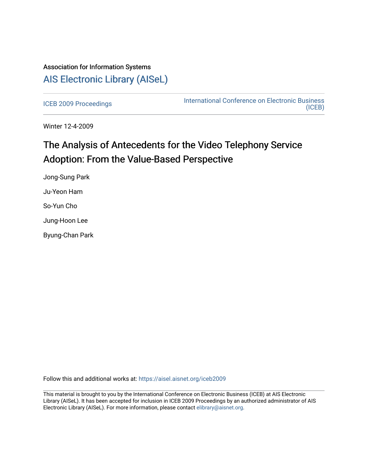## Association for Information Systems [AIS Electronic Library \(AISeL\)](https://aisel.aisnet.org/)

[ICEB 2009 Proceedings](https://aisel.aisnet.org/iceb2009) **International Conference on Electronic Business** [\(ICEB\)](https://aisel.aisnet.org/iceb) 

Winter 12-4-2009

# The Analysis of Antecedents for the Video Telephony Service Adoption: From the Value-Based Perspective

Jong-Sung Park Ju-Yeon Ham So-Yun Cho Jung-Hoon Lee Byung-Chan Park

Follow this and additional works at: [https://aisel.aisnet.org/iceb2009](https://aisel.aisnet.org/iceb2009?utm_source=aisel.aisnet.org%2Ficeb2009%2F90&utm_medium=PDF&utm_campaign=PDFCoverPages)

This material is brought to you by the International Conference on Electronic Business (ICEB) at AIS Electronic Library (AISeL). It has been accepted for inclusion in ICEB 2009 Proceedings by an authorized administrator of AIS Electronic Library (AISeL). For more information, please contact [elibrary@aisnet.org.](mailto:elibrary@aisnet.org%3E)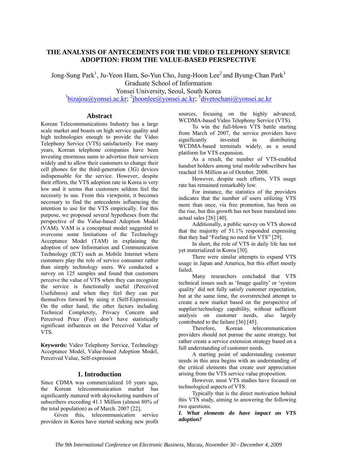## **THE ANALYSIS OF ANTECEDENTS FOR THE VIDEO TELEPHONY SERVICE ADOPTION: FROM THE VALUE-BASED PERSPECTIVE**

Jong-Sung Park<sup>1</sup>, Ju-Yeon Ham, So-Yun Cho, Jung-Hoon Lee<sup>2</sup> and Byung-Chan Park<sup>3</sup> Graduate School of Information Yonsei University, Seoul, South Korea

<sup>1</sup>bizajou@yonsei.ac.kr; <sup>2</sup>jhoonlee@yonsei.ac.kr; <sup>3</sup>divetochani@yonsei.ac.kr

#### **Abstract**

Korean Telecommunications Industry has a large scale market and boasts on high service quality and high technologies enough to provide the Video Telephony Service (VTS) satisfactorily. For many years, Korean telephone companies have been investing enormous sums to advertise their services widely and to allow their customers to change their cell phones for the third-generation (3G) devices indispensable for the service. However, despite their efforts, the VTS adoption rate in Korea is very low and it seems that customers seldom feel the necessity to use. From this viewpoint, it becomes necessary to find the antecedents influencing the intention to use for the VTS empirically. For this purpose, we proposed several hypotheses from the perspective of the Value-based Adoption Model (VAM). VAM is a conceptual model suggested to overcome some limitations of the Technology Acceptance Model (TAM) in explaining the adoption of new Information and Communication Technology (ICT) such as Mobile Internet where customers play the role of service consumer rather than simply technology users. We conducted a survey on 125 samples and found that customers perceive the value of VTS when they can recognize the service is functionally useful (Perceived Usefulness) and when they feel they can put themselves forward by using it (Self-Expression). On the other hand, the other factors including Technical Complexity, Privacy Concern and Perceived Price (Fee) don't have statistically significant influences on the Perceived Value of VTS.

**Keywords:** Video Telephony Service, Technology Acceptance Model, Value-based Adoption Model, Perceived Value, Self-expression

#### **1. Introduction**

Since CDMA was commercialized 10 years ago, the Korean telecommunication market has significantly matured with skyrocketing numbers of subscribers exceeding 41.1 Million (almost 80% of the total population) as of March. 2007 [22].

Given this, telecommunication service providers in Korea have started seeking new profit sources, focusing on the highly advanced, WCDMA-based Video Telephony Service (VTS).

To win the full-blown VTS battle starting from March of 2007, the service providers have significantly invested in distributing WCDMA-based terminals widely, as a sound platform for VTS expansion.

As a result, the number of VTS-enabled handset holders among total mobile subscribers has reached 16 Million as of October. 2008.

However, despite such efforts, VTS usage rate has remained remarkably low.

For instance, the statistics of the providers indicates that the number of users utilizing VTS more than once, via free promotion, has been on the rise, but this growth has not been translated into actual sales [26] [40].

Additionally, a public survey on VTS showed that the majority of 51.1% responded expressing that they had "Feeling no need for VTS" [29].

In short, the role of VTS in daily life has not yet materialized in Korea [30].

There were similar attempts to expand VTS usage in Japan and America, but this effort mostly failed.

Many researchers concluded that VTS technical issues such as 'Image quality' or 'system quality' did not fully satisfy customer expectation, but at the same time, the overstretched attempt to create a new market based on the perspective of supplier/technology capability, without sufficient analysis on customer needs, also largely contributed to the failure [36] [45].

Therefore, Korean telecommunication providers should not pursue the same strategy, but rather create a service extension strategy based on a full understanding of customer needs.

A starting point of understanding customer needs in this area begins with an understanding of the critical elements that create user appreciation arising from the VTS service value proposition.

However, most VTS studies have focused on technological aspects of VTS.

Typically that is the direct motivation behind this VTS study, aiming to answering the following two questions.

*I. What elements do have impact on VTS adoption?*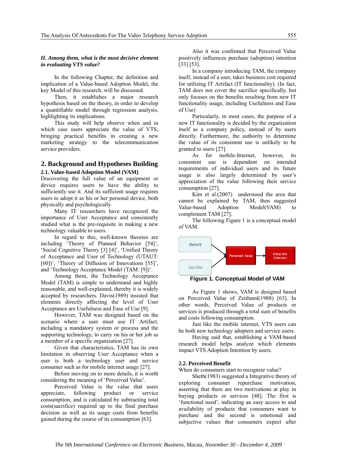#### *II. Among them, what is the most decisive element in evaluating VTS value?*

In the following Chapter, the definition and implication of a Value-based Adoption Model, the key Model of this research, will be discussed.

Then, it establishes a major research hypothesis based on the theory, in order to develop a quantifiable model through regression analysis, highlighting its implications.

This study will help observe when and in which case users appreciate the value of VTS, bringing practical benefits in creating a new marketing strategy to the telecommunication service providers.

## **2. Background and Hypotheses Building**

### **2.1. Value-based Adoption Model (VAM)**

Discovering the full value of an equipment or device requires users to have the ability to sufficiently use it. And its sufficient usage requires users to adopt it as his or her personal device, both physically and psychologically.

Many IT researchers have recognized the importance of User Acceptance and consistently studied what is the pre-requisite in making a new technology valuable to users.

In regard to this, well-known theories are including 'Theory of Planned Behavior [54]', 'Social Cognitive Theory [3] [4]', 'Unified Theory of Acceptance and User of Technology (UTAUT: [60])', 'Theory of Diffusion of Innovations [35]', and 'Technology Acceptance Model (TAM: [9])'.

Among them, the Technology Acceptance Model (TAM) is simple to understand and highly reasonable, and well-explained, thereby it is widely accepted by researchers. Davis(1989) insisted that elements directly affecting the level of User Acceptance are Usefulness and Ease of Use [9].

However, TAM was designed based on the scenario where a user must use IT Artifact, including a mandatory system or process and the supporting technology, to carry on his or her job as a member of a specific organization [27].

Given that characteristics, TAM has its own limitation in observing User Acceptance when a user is both a technology user and service consumer such as for mobile internet usage [27].

Before moving on to more details, it is worth considering the meaning of 'Perceived Value'.

Perceived Value is the value that users appreciate, following product or service consumption, and is calculated by subtracting total costs(sacrifice) required up to the final purchase decision as well as its usage costs from benefits gained during the course of its consumption [63].

Also it was confirmed that Perceived Value positively influences purchase (adoption) intention [33] [53].

In a company introducing TAM, the company itself, instead of a user, takes business cost required for utilizing IT Artifact (IT functionality). (In fact, TAM does not cover the sacrifice specifically, but only focuses on the benefits resulting from new IT functionality usage, including Usefulness and Ease of Use)

Particularly, in most cases, the purpose of a new IT functionality is decided by the organization itself as a company policy, instead of by users directly. Furthermore, the authority to determine the value of its consistent use is unlikely to be granted to users [27].

As for mobile-Internet, however, its consistent use is dependent on intended requirements of individual users and its future usage is also largely determined by user's appreciation of the value following their service consumption [27].

Kim et al.(2007) understood the area that cannot be explained by TAM, then suggested Value-based Adoption Model(VAM) to complement TAM [27].

The following Figure 1 is a conceptual model of VAM.



**Figure 1. Conceptual Model of VAM** 

As Figure 1 shows, VAM is designed based on Perceived Value of Zeithaml(1988) [63]. In other words, Perceived Value of products or services is produced through a total sum of benefits and costs following consumption.

Just like the mobile internet, VTS users can be both new technology adopters and service users.

Having said that, establishing a VAM-based research model helps analyze which elements impact VTS Adoption Intention by users.

#### **2.2. Perceived Benefit**

When do consumers start to recognize value?

Sheth(1983) suggested a Integrative theory of exploring consumer repurchase motivation, asserting that there are two motivations at play in buying products or services [48]. The first is 'functional need', indicating an easy access to and availability of products that consumers want to purchase and the second is emotional and subjective values that consumers expect after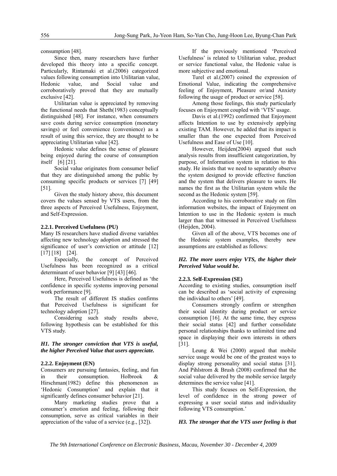consumption [48].

Since then, many researchers have further developed this theory into a specific concept. Particularly, Rintamaki et al.(2006) categorized values following consumption into Utilitarian value, Hedonic value, and Social value and corroboratively proved that they are mutually exclusive [42].

Utilitarian value is appreciated by removing the functional needs that Sheth(1983) conceptually distinguished [48]. For instance, when consumers save costs during service consumption (monetary savings) or feel convenience (convenience) as a result of using this service, they are thought to be appreciating Utilitarian value [42].

Hedonic value defines the sense of pleasure being enjoyed during the course of consumption itself [6] [21].

Social value originates from consumer belief that they are distinguished among the public by consuming specific products or services [7] [49] [51].

Given the study history above, this document covers the values sensed by VTS users, from the three aspects of Perceived Usefulness, Enjoyment, and Self-Expression.

#### **2.2.1. Perceived Usefulness (PU)**

Many IS researchers have studied diverse variables affecting new technology adoption and stressed the significance of user's conviction or attitude [12] [17] [18] [24].

Especially, the concept of Perceived Usefulness has been recognized as a critical determinant of user behavior [9] [43] [46].

Here, Perceived Usefulness is defined as 'the confidence in specific systems improving personal work performance [9].

The result of different IS studies confirms that Perceived Usefulness is significant for technology adoption [27].

Considering such study results above, following hypothesis can be established for this VTS study.

#### *H1. The stronger conviction that VTS is useful, the higher Perceived Value that users appreciate.*

#### **2.2.2. Enjoyment (EN)**

Consumers are pursuing fantasies, feeling, and fun in their consumption. Holbrook & Hirschman(1982) define this phenomenon as 'Hedonic Consumption' and explain that it significantly defines consumer behavior [21].

Many marketing studies prove that a consumer's emotion and feeling, following their consumption, serve as critical variables in their appreciation of the value of a service (e.g., [32]).

If the previously mentioned 'Perceived Usefulness' is related to Utilitarian value, product or service functional value, the Hedonic value is more subjective and emotional.

Turel et al.(2007) coined the expression of Emotional Value, indicating the comprehensive feeling of Enjoyment, Pleasure or/and Anxiety following the usage of product or service [58].

Among those feelings, this study particularly focuses on Enjoyment coupled with 'VTS' usage.

Davis et al.(1992) confirmed that Enjoyment affects Intention to use by extensively applying existing TAM. However, he added that its impact is smaller than the one expected from Perceived Usefulness and Ease of Use [10].

However, Heijden(2004) argued that such analysis results from insufficient categorization, by purpose, of Information system in relation to this study. He insists that we need to separately observe the system designed to provide effective function and the system that delivers pleasure to users. He names the first as the Utilitarian system while the second as the Hedonic system [59].

According to his corroborative study on film information websites, the impact of Enjoyment on Intention to use in the Hedonic system is much larger than that witnessed in Perceived Usefulness (Heijden, 2004).

Given all of the above, VTS becomes one of the Hedonic system examples, thereby new assumptions are established as follows:

#### *H2. The more users enjoy VTS, the higher their Perceived Value would be.*

#### **2.2.3. Self-Expression (SE)**

According to existing studies, consumption itself can be described as 'social activity of expressing the individual to others' [49].

Consumers strongly confirm or strengthen their social identity during product or service consumption [16]. At the same time, they express their social status [42] and further consolidate personal relationships thanks to unlimited time and space in displaying their own interests in others [31].

Leung & Wei (2000) argued that mobile service usage would be one of the greatest ways to display strong personality and social status [31]. And Pihlstrom & Brush (2008) confirmed that the social value delivered by the mobile service largely determines the service value [41].

This study focuses on Self-Expression, the level of confidence in the strong power of expressing a user social status and individuality following VTS consumption.'

#### *H3. The stronger that the VTS user feeling is that*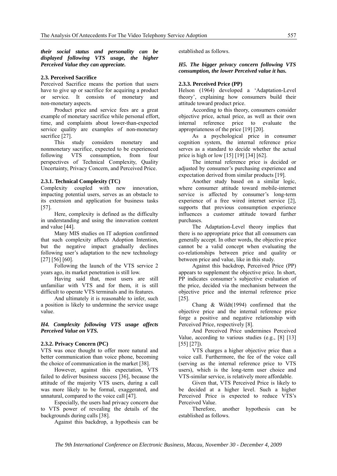*their social status and personality can be displayed following VTS usage, the higher Perceived Value they can appreciate.* 

#### **2.3. Perceived Sacrifice**

Perceived Sacrifice means the portion that users have to give up or sacrifice for acquiring a product or service. It consists of monetary and non-monetary aspects.

Product price and service fees are a great example of monetary sacrifice while personal effort, time, and complaints about lower-than-expected service quality are examples of non-monetary sacrifice [27].

This study considers monetary and nonmonetary sacrifice, expected to be experienced following VTS consumption, from four perspectives of Technical Complexity, Quality Uncertainty, Privacy Concern, and Perceived Price.

#### **2.3.1. Technical Complexity (TC)**

Complexity coupled with new innovation, impacting potential users, serves as an obstacle to its extension and application for business tasks [57].

Here, complexity is defined as the difficulty in understanding and using the innovation content and value [44].

Many MIS studies on IT adoption confirmed that such complexity affects Adoption Intention, but the negative impact gradually declines following user's adaptation to the new technology [27] [56] [60].

Following the launch of the VTS service 2 years ago, its market penetration is still low.

Having said that, most users are still unfamiliar with VTS and for them, it is still difficult to operate VTS terminals and its features.

And ultimately it is reasonable to infer, such a position is likely to undermine the service usage value.

#### *H4. Complexity following VTS usage affects Perceived Value on VTS.*

#### **2.3.2. Privacy Concern (PC)**

VTS was once thought to offer more natural and better communication than voice phone, becoming the choice of communication in the market [38].

However, against this expectation, VTS failed to deliver business success [36], because the attitude of the majority VTS users, during a call was more likely to be formal, exaggerated, and unnatural, compared to the voice call [47].

Especially, the users had privacy concern due to VTS power of revealing the details of the backgrounds during calls [38].

Against this backdrop, a hypothesis can be

established as follows.

#### *H5. The bigger privacy concern following VTS consumption, the lower Perceived value it has.*

#### **2.3.3. Perceived Price (PP)**

Helson (1964) developed a 'Adaptation-Level theory', explaining how consumers build their attitude toward product price.

According to this theory, consumers consider objective price, actual price, as well as their own internal reference price to evaluate the appropriateness of the price [19] [20].

As a psychological price in consumer cognition system, the internal reference price serves as a standard to decide whether the actual price is high or low [15] [19] [34] [62].

The internal reference price is decided or adjusted by consumer's purchasing experience and expectation derived from similar products [19].

Another study based on a similar logic, where consumer attitude toward mobile-internet service is affected by consumer's long-term experience of a free wired internet service [2], supports that previous consumption experience influences a customer attitude toward further purchases.

The Adaptation-Level theory implies that there is no appropriate price that all consumers can generally accept. In other words, the objective price cannot be a valid concept when evaluating the co-relationships between price and quality or between price and value, like in this study.

Against this backdrop, Perceived Price (PP) appears to supplement the objective price. In short, PP indicates consumer's subjective evaluation of the price, decided via the mechanism between the objective price and the internal reference price [25].

Chang & Wildt(1994) confirmed that the objective price and the internal reference price forge a positive and negative relationship with Perceived Price, respectively [8].

And Perceived Price undermines Perceived Value, according to various studies (e.g., [8] [13] [55] [27]).

VTS charges a higher objective price than a voice call. Furthermore, the fee of the voice call (serving as the internal reference price to VTS users), which is the long-term user choice and VTS-similar service, is relatively more affordable.

Given that, VTS Perceived Price is likely to be decided at a higher level. Such a higher Perceived Price is expected to reduce VTS's Perceived Value.

Therefore, another hypothesis can be established as follows.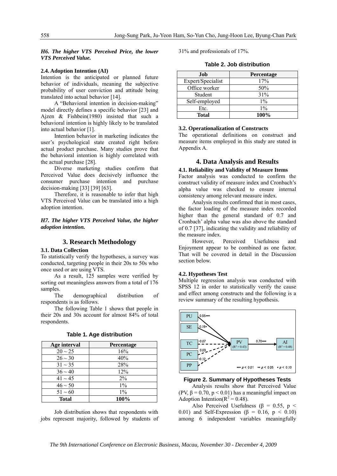*H6. The higher VTS Perceived Price, the lower VTS Perceived Value.* 

#### **2.4. Adoption Intention (AI)**

Intention is the anticipated or planned future behavior of individuals, meaning the subjective probability of user conviction and attitude being translated into actual behavior [14].

A "Behavioral intention in decision-making" model directly defines a specific behavior [23] and Ajzen & Fishbein(1980) insisted that such a behavioral intention is highly likely to be translated into actual behavior [1].

Intention behavior in marketing indicates the user's psychological state created right before actual product purchase. Many studies prove that the behavioral intention is highly correlated with the actual purchase [28].

Diverse marketing studies confirm that Perceived Value does decisively influence the consumer purchase intention and purchase decision-making [33] [39] [63].

Therefore, it is reasonable to infer that high VTS Perceived Value can be translated into a high adoption intention.

#### *H7. The higher VTS Perceived Value, the higher adoption intention.*

#### **3. Research Methodology**

#### **3.1. Data Collection**

To statistically verify the hypotheses, a survey was conducted, targeting people in their 20s to 50s who once used or are using VTS.

As a result, 125 samples were verified by sorting out meaningless answers from a total of 176 samples.

The demographical distribution of respondents is as follows.

The following Table 1 shows that people in their 20s and 30s account for almost 84% of total respondents.

| Age interval | Percentage |
|--------------|------------|
| $20 \sim 25$ | 16%        |
| $26 \sim 30$ | 40%        |
| $31 \sim 35$ | 28%        |
| $36 \sim 40$ | 12%        |
| $41 \sim 45$ | $2\%$      |
| $46 \sim 50$ | $1\%$      |
| $51 \sim 60$ | $1\%$      |
| <b>Total</b> | 100%       |

**Table 1. Age distribution** 

Job distribution shows that respondents with jobs represent majority, followed by students of 31% and professionals of 17%.

**Table 2. Job distribution** 

| Job               | <b>Percentage</b> |
|-------------------|-------------------|
| Expert/Specialist | 17%               |
| Office worker     | 50%               |
| Student           | 31%               |
| Self-employed     | $1\%$             |
| Etc.              | $1\%$             |
| <b>Total</b>      | 100%              |

#### **3.2. Operationalization of Constructs**

The operational definitions on construct and measure items employed in this study are stated in Appendix A.

#### **4. Data Analysis and Results**

#### **4.1. Reliability and Validity of Measure Items**

Factor analysis was conducted to confirm the construct validity of measure index and Cronbach's alpha value was checked to ensure internal consistency among relevant measure index.

Analysis results confirmed that in most cases, the factor loading of the measure index recorded higher than the general standard of 0.7 and Cronbach' alpha value was also above the standard of 0.7 [37], indicating the validity and reliability of the measure index.

However, Perceived Usefulness and Enjoyment appear to be combined as one factor. That will be covered in detail in the Discussion section below.

#### **4.2. Hypotheses Test**

Multiple regression analysis was conducted with SPSS 12 in order to statistically verify the cause and effect among constructs and the following is a review summary of the resulting hypothesis.



**Figure 2. Summary of Hypotheses Tests** 

Analysis results show that Perceived Value (PV,  $\beta$  = 0.70, p < 0.01) has a meaningful impact on Adoption Intention( $R^2 = 0.48$ ).

Also Perceived Usefulness ( $\beta$  = 0.55, p < 0.01) and Self-Expression ( $\beta$  = 0.16,  $p \le 0.10$ ) among 6 independent variables meaningfully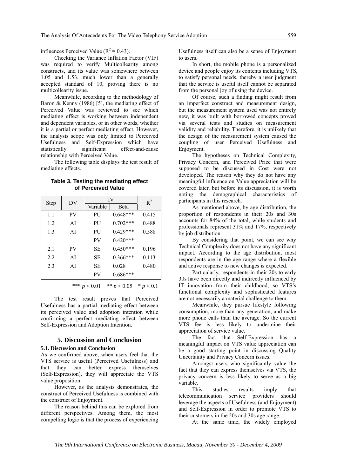influences Perceived Value ( $R^2 = 0.43$ ).

Checking the Variance Inflation Factor (VIF) was required to verify Multicollearity among constructs, and its value was somewhere between 1.05 and 1.53, much lower than a generally accepted standard of 10, proving there is no multicollearity issue.

Meanwhile, according to the methodology of Baron & Kenny (1986) [5], the mediating effect of Perceived Value was reviewed to see which mediating effect is working between independent and dependent variables, or in other words, whether it is a partial or perfect mediating effect. However, the analysis scope was only limited to Perceived Usefulness and Self-Expression which have statistically significant effect-and-cause relationship with Perceived Value.

The following table displays the test result of mediating effects.

| <b>Step</b> | DV        | IV             |               | $R^2$       |
|-------------|-----------|----------------|---------------|-------------|
|             |           | Variable       | Beta          |             |
| 1.1         | <b>PV</b> | PU             | $0.648***$    | 0.415       |
| 1.2         | AĪ        | PU             | $0.702***$    | 0.488       |
| 1.3         | AI        | PU             | $0.429***$    | 0.588       |
|             |           | PV             | $0.420***$    |             |
| 2.1         | <b>PV</b> | SЕ             | $0.450***$    | 0.196       |
| 2.2         | AI        | SE             | 0.366***      | 0.113       |
| 2.3         | AI        | SЕ             | 0.028         | 0.480       |
|             |           | PV             | $0.686***$    |             |
|             |           | *** $p < 0.01$ | ** $p < 0.05$ | * $p < 0.1$ |

**Table 3. Testing the mediating effect of Perceived Value** 

The test result proves that Perceived Usefulness has a partial mediating effect between its perceived value and adoption intention while confirming a perfect mediating effect between Self-Expression and Adoption Intention.

#### **5. Discussion and Conclusion**

#### **5.1. Discussion and Conclusion**

As we confirmed above, when users feel that the VTS service is useful (Perceived Usefulness) and that they can better express themselves (Self-Expression), they will appreciate the VTS value proposition.

However, as the analysis demonstrates, the construct of Perceived Usefulness is combined with the construct of Enjoyment.

The reason behind this can be explored from different perspectives. Among them, the most compelling logic is that the process of experiencing

Usefulness itself can also be a sense of Enjoyment to users.

In short, the mobile phone is a personalized device and people enjoy its contents including VTS, to satisfy personal needs, thereby a user judgment that the service is useful itself cannot be separated from the personal joy of using the device.

Of course, such a finding might result from an imperfect construct and measurement design, but the measurement system used was not entirely new, it was built with borrowed concepts proved via several tests and studies on measurement validity and reliability. Therefore, it is unlikely that the design of the measurement system caused the coupling of user Perceived Usefulness and Enjoyment.

The hypotheses on Technical Complexity, Privacy Concern, and Perceived Price that were supposed to be discussed in Cost were not developed. The reason why they do not have any meaningful influence on Value appreciation will be covered later, but before its discussion, it is worth noting the demographical characteristics of participants in this research.

As mentioned above, by age distribution, the proportion of respondents in their 20s and 30s accounts for 84% of the total, while students and professionals represent 31% and 17%, respectively by job distribution.

By considering that point, we can see why Technical Complexity does not have any significant impact. According to the age distribution, most respondents are in the age range where a flexible and active response to new changes is expected.

Particularly, respondents in their 20s to early 30s have been directly and indirectly influenced by IT innovation from their childhood, so VTS's functional complexity and sophisticated features are not necessarily a material challenge to them.

Meanwhile, they pursue lifestyle following consumption, more than any generation, and make more phone calls than the average. So the current VTS fee is less likely to undermine their appreciation of service value.

The fact that Self-Expression has a meaningful impact on VTS value appreciation can be a good starting point in discussing Quality Uncertainty and Privacy Concern issues.

Amongst users who significantly value the fact that they can express themselves via VTS, the privacy concern is less likely to serve as a big variable.

This studies results imply that telecommunication service providers should leverage the aspects of Usefulness (and Enjoyment) and Self-Expression in order to promote VTS to their customers in the 20s and 30s age range.

At the same time, the widely employed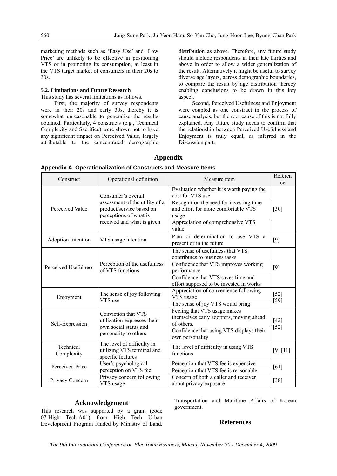marketing methods such as 'Easy Use' and 'Low Price' are unlikely to be effective in positioning VTS or in promoting its consumption, at least in the VTS target market of consumers in their 20s to 30s.

#### **5.2. Limitations and Future Research**

This study has several limitations as follows.

First, the majority of survey respondents were in their 20s and early 30s, thereby it is somewhat unreasonable to generalize the results obtained. Particularly, 4 constructs (e.g., Technical Complexity and Sacrifice) were shown not to have any significant impact on Perceived Value, largely attributable to the concentrated demographic distribution as above. Therefore, any future study should include respondents in their late thirties and above in order to allow a wider generalization of the result. Alternatively it might be useful to survey diverse age layers, across demographic boundaries, to compare the result by age distribution thereby enabling conclusions to be drawn in this key aspect.

Second, Perceived Usefulness and Enjoyment were coupled as one construct in the process of cause analysis, but the root cause of this is not fully explained. Any future study needs to confirm that the relationship between Perceived Usefulness and Enjoyment is truly equal, as inferred in the Discussion part.

### **Appendix**

| Construct               | Operational definition                                                                                                                   | Measure item                                                                                                                                                                                              |                  |
|-------------------------|------------------------------------------------------------------------------------------------------------------------------------------|-----------------------------------------------------------------------------------------------------------------------------------------------------------------------------------------------------------|------------------|
| Perceived Value         | Consumer's overall<br>assessment of the utility of a<br>product/service based on<br>perceptions of what is<br>received and what is given | Evaluation whether it is worth paying the<br>cost for VTS use<br>Recognition the need for investing time<br>and effort for more comfortable VTS<br>usage<br>Appreciation of comprehensive VTS<br>value    | [50]             |
| Adoption Intention      | Plan or determination to use VTS at<br>VTS usage intention<br>present or in the future                                                   |                                                                                                                                                                                                           | [9]              |
| Perceived Usefulness    | Perception of the usefulness<br>of VTS functions                                                                                         | The sense of usefulness that VTS<br>contributes to business tasks<br>Confidence that VTS improves working<br>performance<br>Confidence that VTS saves time and<br>effort supposed to be invested in works | [9]              |
| Enjoyment               | The sense of joy following<br>VTS use                                                                                                    | Appreciation of convenience following<br>VTS usage<br>The sense of joy VTS would bring                                                                                                                    | $[52]$<br>$[59]$ |
| Self-Expression         | Conviction that VTS<br>utilization expresses their<br>own social status and<br>personality to others                                     | Feeling that VTS usage makes<br>themselves early adopters, moving ahead<br>of others.<br>Confidence that using VTS displays their<br>own personality                                                      | $[42]$<br>$[52]$ |
| Technical<br>Complexity | The level of difficulty in<br>utilizing VTS terminal and<br>specific features                                                            | The level of difficulty in using VTS<br>functions                                                                                                                                                         | [9] [11]         |
| Perceived Price         | User's psychological<br>perception on VTS fee                                                                                            | Perception that VTS fee is expensive<br>Perception that VTS fee is reasonable                                                                                                                             | [61]             |
| Privacy Concern         | Privacy concern following<br>VTS usage                                                                                                   | Concern of both a caller and receiver<br>about privacy exposure                                                                                                                                           | $[38]$           |

#### **Appendix A. Operationalization of Constructs and Measure Items**

#### **Acknowledgement**

This research was supported by a grant (code 07-High Tech-A01) from High Tech Urban Development Program funded by Ministry of Land,

Transportation and Maritime Affairs of Korean government.

#### **References**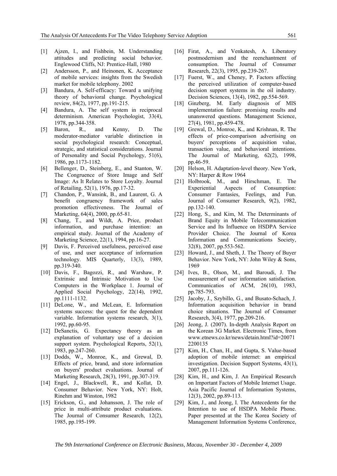- [1] Ajzen, I., and Fishbein, M. Understanding attitudes and predicting social behavior. Englewood Cliffs, NJ: Prentice-Hall, 1980
- [2] Andersson, P., and Heinonen, K. Acceptance of mobile services: insights from the Swedish market for mobile telephony. 2002
- [3] Bandura, A. Self-efficacy: Toward a unifying theory of behavioral change. Psychological review, 84(2), 1977, pp.191-215.
- [4] Bandura, A. The self system in reciprocal determinism. American Psychologist, 33(4), 1978, pp.344-358.
- [5] Baron, R., and Kenny, D. The moderator-mediator variable distinction in social psychological research: Conceptual, strategic, and statistical considerations. Journal of Personality and Social Psychology, 51(6), 1986, pp.1173-1182.
- [6] Bellenger, D., Steinberg, E., and Stanton, W. The Congruence of Store Image and Self Image: As It Relates to Store Loyalty. Journal of Retailing, 52(1), 1976, pp.17-32.
- [7] Chandon, P., Wansink, B., and Laurent, G. A benefit congruency framework of sales promotion effectiveness. The Journal of Marketing, 64(4), 2000, pp.65-81.
- [8] Chang, T., and Wildt, A. Price, product information, and purchase intention: an empirical study. Journal of the Academy of Marketing Science, 22(1), 1994, pp.16-27.
- [9] Davis, F. Perceived usefulness, perceived ease of use, and user acceptance of information technology. MIS Quarterly, 13(3), 1989, pp.319-340.
- [10] Davis, F., Bagozzi, R., and Warshaw, P. Extrinsic and Intrinsic Motivation to Use Computers in the Workplace 1. Journal of Applied Social Psychology, 22(14), 1992, pp.1111-1132.
- [11] DeLone, W., and McLean, E. Information systems success: the quest for the dependent variable. Information systems research, 3(1), 1992, pp.60-95.
- [12] DeSanctis, G. Expectancy theory as an explanation of voluntary use of a decision support system. Psychological Reports, 52(1), 1983, pp.247-260.
- [13] Dodds, W., Monroe, K., and Grewal, D. Effects of price, brand, and store information on buyers' product evaluations. Journal of Marketing Research, 28(3), 1991, pp.307-319.
- [14] Engel, J., Blackwell, R., and Kollat, D. Consumer Behavior. New York, NY: Holt, Rinehm and Winston, 1982
- [15] Erickson, G., and Johansson, J. The role of price in multi-attribute product evaluations. The Journal of Consumer Research, 12(2), 1985, pp.195-199.
- [16] Firat, A., and Venkatesh, A. Liberatory postmodernism and the reenchantment of consumption. The Journal of Consumer Research, 22(3), 1995, pp.239-267.
- [17] Fuerst, W., and Cheney, P. Factors affecting the perceived utilization of computer-based decision support systems in the oil industry. Decision Sciences, 13(4), 1982, pp.554-569.
- [18] Ginzberg, M. Early diagnosis of MIS implementation failure: promising results and unanswered questions. Management Science, 27(4), 1981, pp.459-478.
- [19] Grewal, D., Monroe, K., and Krishnan, R. The effects of price-comparison advertising on buyers' perceptions of acquisition value, transaction value, and behavioral intentions. The Journal of Marketing, 62(2), 1998, pp.46-59.
- [20] Helson, H. Adaptation-level theory. New York, NY: Harper & Row 1964
- [21] Holbrook, M., and Hirschman, E. The Experiential Aspects of Consumption: Consumer Fantasies, Feelings, and Fun. Journal of Consumer Research, 9(2), 1982, pp.132-140.
- [22] Hong, S., and Kim, M. The Determinants of Brand Equity in Mobile Telecommunication Service and Its Influence on HSDPA Service Provider Choice. The Journal of Korea Information and Communications Society, 32(8), 2007, pp.553-562.
- [23] Howard, J., and Sheth, J. The Theory of Buyer Behavior. New York, NY: John Wiley & Sons, 1969
- [24] Ives, B., Olson, M., and Baroudi, J. The measurement of user information satisfaction. Communicatios of ACM, 26(10), 1983, pp.785-793.
- [25] Jacoby, J., Szybillo, G., and Busato-Schach, J. Information acquisition behavior in brand choice situations. The Journal of Consumer Research, 3(4), 1977, pp.209-216.
- [26] Jeong, J. (2007). In-depth Analysis Report on the Korean 3G Market. Electronic Times, from www.etnews.co.kr/news/detain.html?id=20071 2200135
- [27] Kim, H., Chan, H., and Gupta, S. Value-based adoption of mobile internet: an empirical investigation. Decision Support Systems, 43(1), 2007, pp.111-126.
- [28] Kim, H., and Kim, J. An Empirical Research on Important Factors of Mobile Internet Usage. Asia Pacific Journal of Information Systems, 12(3), 2002, pp.89-113.
- [29] Kim, J., and Jeong, I. The Antecedents for the Intention to use of HSDPA Mobile Phone. Paper presented at the The Korea Society of Management Information Systems Conference,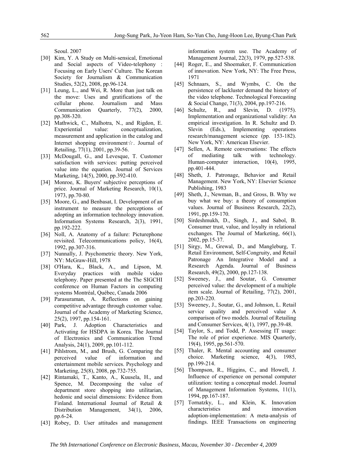Seoul. 2007

- [30] Kim, Y. A Study on Multi-sensical, Emotional and Social aspects of Video-telephony : Focusing on Early Users' Culture. The Korean Society for Journalism & Communication Studies, 52(2), 2008, pp.96-124.
- [31] Leung, L., and Wei, R. More than just talk on the move: Uses and gratifications of the cellular phone. Journalism and Mass Communication Quarterly, 77(2), 2000, pp.308-320.
- [32] Mathwick, C., Malhotra, N., and Rigdon, E. Experiential value: conceptualization, measurement and application in the catalog and Internet shopping environment☆. Journal of Retailing, 77(1), 2001, pp.39-56.
- [33] McDougall, G., and Levesque, T. Customer satisfaction with services: putting perceived value into the equation. Journal of Services Marketing, 14(5), 2000, pp.392-410.
- [34] Monroe, K. Buyers' subjective perceptions of price. Journal of Marketing Research, 10(1), 1973, pp.70-80.
- [35] Moore, G., and Benbasat, I. Development of an instrument to measure the perceptions of adopting an information technology innovation. Information Systems Research, 2(3), 1991, pp.192-222.
- [36] Noll, A. Anatomy of a failure: Picturephone revisited. Telecommunications policy, 16(4), 1992, pp.307-316.
- [37] Nunnally, J. Psychometric theory. New York, NY: McGraw-Hill, 1978
- [38] O'Hara, K., Black, A., and Lipson, M. Everyday practices with mobile video telephony. Paper presented at the The SIGCHI conference on Human Factors in computing systems Montréal, Québec, Canada 2006
- [39] Parasuraman, A. Reflections on gaining competitive advantage through customer value. Journal of the Academy of Marketing Science, 25(2), 1997, pp.154-161.
- [40] Park, J. Adoption Characteristics and Activating for HSDPA in Korea. The Journal of Electronics and Communication Trend Analysis, 24(1), 2009, pp.101-112.
- [41] Pihlstrom, M., and Brush, G. Comparing the perceived value of information and entertainment mobile services. Psychology and Marketing, 25(8), 2008, pp.732-755.
- [42] Rintamaki, T., Kanto, A., Kuusela, H., and Spence, M. Decomposing the value of department store shopping into utilitarian, hedonic and social dimensions: Evidence from Finland. International Journal of Retail & Distribution Management, 34(1), 2006, pp.6-24.
- [43] Robey, D. User attitudes and management

information system use. The Academy of Management Journal, 22(3), 1979, pp.527-538.

- [44] Roger, E., and Shoemaker, F. Communication of innovation. New York, NY: The Free Press, 1971
- [45] Schnaars, S., and Wymbs, C. On the persistence of lackluster demand the history of the video telephone. Technological Forecasting & Social Change, 71(3), 2004, pp.197-216.
- [46] Schultz, R., and Slevin, D. (1975). Implementation and organizational validity: An empirical investigation. In R. Schultz and D. Slevin (Eds.), Implementing operations research/management science (pp. 153-182). New York, NY: American Elsevier.
- [47] Sellen, A. Remote conversations: The effects of mediating talk with technology. Human-computer interaction, 10(4), 1995. pp.401-444.
- [48] Sheth, J. Patronage, Behavior and Retail Management. New York, NY: Elsevier Science Publishing, 1983
- [49] Sheth, J., Newman, B., and Gross, B. Why we buy what we buy: a theory of consumption values. Journal of Business Research, 22(2), 1991, pp.159-170.
- [50] Sirdeshmukh, D., Singh, J., and Sabol, B. Consumer trust, value, and loyalty in relational exchanges. The Journal of Marketing, 66(1), 2002, pp.15-37.
- [51] Sirgy, M., Grewal, D., and Mangleburg, T. Retail Environment, Self-Congruity, and Retail Patronage An Integrative Model and a Research Agenda. Journal of Business Research, 49(2), 2000, pp.127-138.
- [52] Sweeney, J., and Soutar, G. Consumer perceived value: the development of a multiple item scale. Journal of Retailing, 77(2), 2001, pp.203-220.
- [53] Sweeney, J., Soutar, G., and Johnson, L. Retail service quality and perceived value A comparison of two models. Journal of Retailing and Consumer Services, 4(1), 1997, pp.39-48.
- [54] Taylor, S., and Todd, P. Assessing IT usage: The role of prior experience. MIS Quarterly, 19(4), 1995, pp.561-570.
- [55] Thaler, R. Mental accounting and consumer choice. Marketing science, 4(3), 1985, pp.199-214.
- [56] Thompson, R., Higgins, C., and Howell, J. Influence of experience on personal computer utilization: testing a conceptual model. Journal of Management Information Systems, 11(1), 1994, pp.167-187.
- [57] Tornatzky, L., and Klein, K. Innovation characteristics and innovation adoption-implementation: A meta-analysis of findings. IEEE Transactions on engineering